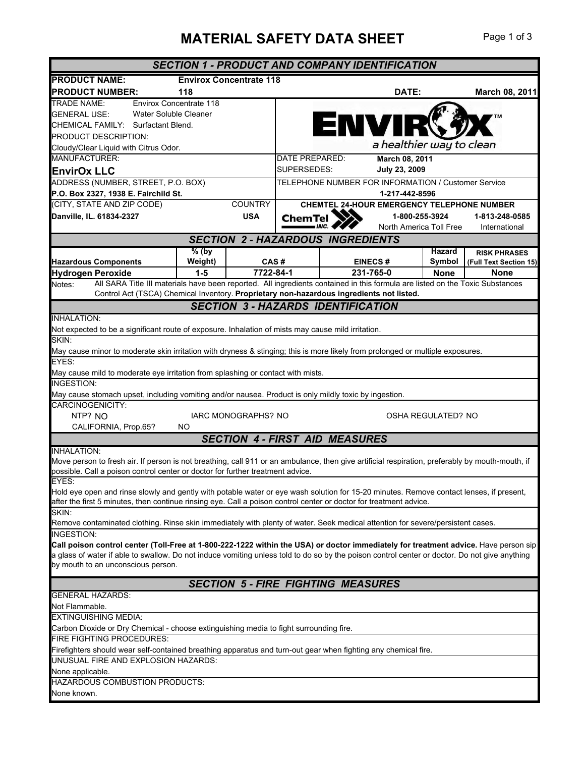## **MATERIAL SAFETY DATA SHEET** Page 1 of 3

|                                                                                                                                                                                     |         |                                |                                                                       |           | <b>SECTION 1 - PRODUCT AND COMPANY IDENTIFICATION</b> |                    |                                            |
|-------------------------------------------------------------------------------------------------------------------------------------------------------------------------------------|---------|--------------------------------|-----------------------------------------------------------------------|-----------|-------------------------------------------------------|--------------------|--------------------------------------------|
| <b>PRODUCT NAME:</b>                                                                                                                                                                |         | <b>Envirox Concentrate 118</b> |                                                                       |           |                                                       |                    |                                            |
| <b>PRODUCT NUMBER:</b>                                                                                                                                                              | 118     |                                |                                                                       |           | DATE:                                                 |                    | March 08, 2011                             |
| <b>TRADE NAME:</b><br><b>Envirox Concentrate 118</b>                                                                                                                                |         |                                |                                                                       |           |                                                       |                    |                                            |
| Water Soluble Cleaner<br><b>GENERAL USE:</b>                                                                                                                                        |         |                                |                                                                       |           | <b>ENVIR</b>                                          |                    |                                            |
| CHEMICAL FAMILY: Surfactant Blend.                                                                                                                                                  |         |                                |                                                                       |           |                                                       |                    |                                            |
| PRODUCT DESCRIPTION:                                                                                                                                                                |         |                                |                                                                       |           | a healthier way to clean                              |                    |                                            |
| Cloudy/Clear Liquid with Citrus Odor.<br>MANUFACTURER:                                                                                                                              |         |                                | DATE PREPARED:                                                        |           | March 08, 2011                                        |                    |                                            |
| <b>EnvirOx LLC</b>                                                                                                                                                                  |         |                                | SUPERSEDES:                                                           |           | July 23, 2009                                         |                    |                                            |
| ADDRESS (NUMBER, STREET, P.O. BOX)                                                                                                                                                  |         |                                |                                                                       |           |                                                       |                    |                                            |
| P.O. Box 2327, 1938 E. Fairchild St.                                                                                                                                                |         |                                | TELEPHONE NUMBER FOR INFORMATION / Customer Service<br>1-217-442-8596 |           |                                                       |                    |                                            |
| (CITY, STATE AND ZIP CODE)                                                                                                                                                          |         | <b>COUNTRY</b>                 |                                                                       |           |                                                       |                    | CHEMTEL 24-HOUR EMERGENCY TELEPHONE NUMBER |
| Danville, IL. 61834-2327                                                                                                                                                            |         | <b>USA</b>                     | <b>ChemTel</b>                                                        |           | 1-800-255-3924                                        |                    | 1-813-248-0585                             |
|                                                                                                                                                                                     |         |                                |                                                                       |           | North America Toll Free                               |                    | International                              |
|                                                                                                                                                                                     |         |                                | <b>SECTION 2 - HAZARDOUS INGREDIENTS</b>                              |           |                                                       |                    |                                            |
|                                                                                                                                                                                     | $%$ (by |                                |                                                                       |           |                                                       | <b>Hazard</b>      | <b>RISK PHRASES</b>                        |
| <b>Hazardous Components</b>                                                                                                                                                         | Weight) | CAS#                           |                                                                       |           | <b>EINECS#</b>                                        | Symbol             | (Full Text Section 15)                     |
| <b>Hydrogen Peroxide</b>                                                                                                                                                            | $1-5$   | 7722-84-1                      |                                                                       | 231-765-0 |                                                       | <b>None</b>        | <b>None</b>                                |
| All SARA Title III materials have been reported. All ingredients contained in this formula are listed on the Toxic Substances<br>Notes:                                             |         |                                |                                                                       |           |                                                       |                    |                                            |
| Control Act (TSCA) Chemical Inventory. Proprietary non-hazardous ingredients not listed.                                                                                            |         |                                |                                                                       |           |                                                       |                    |                                            |
|                                                                                                                                                                                     |         |                                | <b>SECTION 3 - HAZARDS IDENTIFICATION</b>                             |           |                                                       |                    |                                            |
| <b>INHALATION:</b>                                                                                                                                                                  |         |                                |                                                                       |           |                                                       |                    |                                            |
| Not expected to be a significant route of exposure. Inhalation of mists may cause mild irritation.                                                                                  |         |                                |                                                                       |           |                                                       |                    |                                            |
| SKIN:<br>May cause minor to moderate skin irritation with dryness & stinging; this is more likely from prolonged or multiple exposures.                                             |         |                                |                                                                       |           |                                                       |                    |                                            |
| EYES:                                                                                                                                                                               |         |                                |                                                                       |           |                                                       |                    |                                            |
| May cause mild to moderate eye irritation from splashing or contact with mists.                                                                                                     |         |                                |                                                                       |           |                                                       |                    |                                            |
| <b>INGESTION:</b>                                                                                                                                                                   |         |                                |                                                                       |           |                                                       |                    |                                            |
| May cause stomach upset, including vomiting and/or nausea. Product is only mildly toxic by ingestion.                                                                               |         |                                |                                                                       |           |                                                       |                    |                                            |
| CARCINOGENICITY:                                                                                                                                                                    |         |                                |                                                                       |           |                                                       |                    |                                            |
| NTP? NO                                                                                                                                                                             |         | IARC MONOGRAPHS? NO            |                                                                       |           |                                                       | OSHA REGULATED? NO |                                            |
| CALIFORNIA, Prop.65?                                                                                                                                                                | NO      |                                |                                                                       |           |                                                       |                    |                                            |
|                                                                                                                                                                                     |         |                                | <b>SECTION 4 - FIRST AID MEASURES</b>                                 |           |                                                       |                    |                                            |
| <b>INHALATION:</b>                                                                                                                                                                  |         |                                |                                                                       |           |                                                       |                    |                                            |
| Move person to fresh air. If person is not breathing, call 911 or an ambulance, then give artificial respiration, preferably by mouth-mouth, if                                     |         |                                |                                                                       |           |                                                       |                    |                                            |
| possible. Call a poison control center or doctor for further treatment advice.<br>EYES:                                                                                             |         |                                |                                                                       |           |                                                       |                    |                                            |
| Hold eye open and rinse slowly and gently with potable water or eye wash solution for 15-20 minutes. Remove contact lenses, if present,                                             |         |                                |                                                                       |           |                                                       |                    |                                            |
| after the first 5 minutes, then continue rinsing eye. Call a poison control center or doctor for treatment advice.                                                                  |         |                                |                                                                       |           |                                                       |                    |                                            |
| SKIN:                                                                                                                                                                               |         |                                |                                                                       |           |                                                       |                    |                                            |
| Remove contaminated clothing. Rinse skin immediately with plenty of water. Seek medical attention for severe/persistent cases.                                                      |         |                                |                                                                       |           |                                                       |                    |                                            |
| <b>INGESTION:</b>                                                                                                                                                                   |         |                                |                                                                       |           |                                                       |                    |                                            |
| Call poison control center (Toll-Free at 1-800-222-1222 within the USA) or doctor immediately for treatment advice. Have person sip                                                 |         |                                |                                                                       |           |                                                       |                    |                                            |
| a glass of water if able to swallow. Do not induce vomiting unless told to do so by the poison control center or doctor. Do not give anything<br>by mouth to an unconscious person. |         |                                |                                                                       |           |                                                       |                    |                                            |
|                                                                                                                                                                                     |         |                                |                                                                       |           |                                                       |                    |                                            |
|                                                                                                                                                                                     |         |                                | <b>SECTION 5 - FIRE FIGHTING MEASURES</b>                             |           |                                                       |                    |                                            |
| <b>GENERAL HAZARDS:</b>                                                                                                                                                             |         |                                |                                                                       |           |                                                       |                    |                                            |
| Not Flammable.                                                                                                                                                                      |         |                                |                                                                       |           |                                                       |                    |                                            |
| <b>EXTINGUISHING MEDIA:</b>                                                                                                                                                         |         |                                |                                                                       |           |                                                       |                    |                                            |
| Carbon Dioxide or Dry Chemical - choose extinguishing media to fight surrounding fire.                                                                                              |         |                                |                                                                       |           |                                                       |                    |                                            |
| FIRE FIGHTING PROCEDURES:                                                                                                                                                           |         |                                |                                                                       |           |                                                       |                    |                                            |
| Firefighters should wear self-contained breathing apparatus and turn-out gear when fighting any chemical fire.<br>UNUSUAL FIRE AND EXPLOSION HAZARDS:                               |         |                                |                                                                       |           |                                                       |                    |                                            |
| None applicable.                                                                                                                                                                    |         |                                |                                                                       |           |                                                       |                    |                                            |
| HAZARDOUS COMBUSTION PRODUCTS:                                                                                                                                                      |         |                                |                                                                       |           |                                                       |                    |                                            |
| None known.                                                                                                                                                                         |         |                                |                                                                       |           |                                                       |                    |                                            |
|                                                                                                                                                                                     |         |                                |                                                                       |           |                                                       |                    |                                            |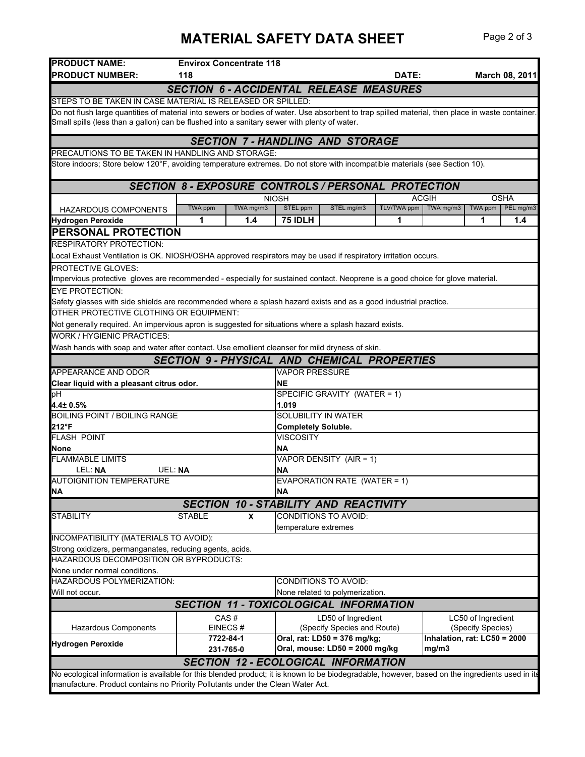## **MATERIAL SAFETY DATA SHEET** Page 2 of 3

| <b>PRODUCT NAME:</b>                                                                                                                             |                | <b>Envirox Concentrate 118</b> |                       |                                                            |              |                              |                    |                |
|--------------------------------------------------------------------------------------------------------------------------------------------------|----------------|--------------------------------|-----------------------|------------------------------------------------------------|--------------|------------------------------|--------------------|----------------|
| <b>PRODUCT NUMBER:</b>                                                                                                                           | 118            |                                |                       |                                                            | <b>DATE:</b> |                              |                    | March 08, 2011 |
|                                                                                                                                                  |                |                                |                       | <b>SECTION 6 - ACCIDENTAL RELEASE MEASURES</b>             |              |                              |                    |                |
| STEPS TO BE TAKEN IN CASE MATERIAL IS RELEASED OR SPILLED:                                                                                       |                |                                |                       |                                                            |              |                              |                    |                |
| Do not flush large quantities of material into sewers or bodies of water. Use absorbent to trap spilled material, then place in waste container. |                |                                |                       |                                                            |              |                              |                    |                |
| Small spills (less than a gallon) can be flushed into a sanitary sewer with plenty of water.                                                     |                |                                |                       |                                                            |              |                              |                    |                |
|                                                                                                                                                  |                |                                |                       | <b>SECTION 7 - HANDLING AND STORAGE</b>                    |              |                              |                    |                |
| PRECAUTIONS TO BE TAKEN IN HANDLING AND STORAGE:                                                                                                 |                |                                |                       |                                                            |              |                              |                    |                |
| Store indoors; Store below 120°F, avoiding temperature extremes. Do not store with incompatible materials (see Section 10).                      |                |                                |                       |                                                            |              |                              |                    |                |
|                                                                                                                                                  |                |                                |                       |                                                            |              |                              |                    |                |
|                                                                                                                                                  |                |                                |                       | <b>SECTION 8 - EXPOSURE CONTROLS / PERSONAL PROTECTION</b> |              |                              |                    |                |
|                                                                                                                                                  |                |                                | <b>NIOSH</b>          |                                                            |              | <b>ACGIH</b>                 |                    | <b>OSHA</b>    |
| HAZARDOUS COMPONENTS                                                                                                                             | <b>TWA ppm</b> | TWA mg/m3                      | STEL ppm              | STEL mg/m3                                                 | TLV/TWA ppm  | TWA mg/m3                    | TWA ppm            | PEL mg/m3      |
| <b>Hydrogen Peroxide</b>                                                                                                                         | 1              | 1.4                            | 75 IDLH               |                                                            | 1            |                              | 1                  | 1.4            |
| PERSONAL PROTECTION                                                                                                                              |                |                                |                       |                                                            |              |                              |                    |                |
| RESPIRATORY PROTECTION:                                                                                                                          |                |                                |                       |                                                            |              |                              |                    |                |
| Local Exhaust Ventilation is OK. NIOSH/OSHA approved respirators may be used if respiratory irritation occurs.                                   |                |                                |                       |                                                            |              |                              |                    |                |
| <b>PROTECTIVE GLOVES:</b>                                                                                                                        |                |                                |                       |                                                            |              |                              |                    |                |
| Impervious protective gloves are recommended - especially for sustained contact. Neoprene is a good choice for glove material.                   |                |                                |                       |                                                            |              |                              |                    |                |
| <b>EYE PROTECTION:</b>                                                                                                                           |                |                                |                       |                                                            |              |                              |                    |                |
| Safety glasses with side shields are recommended where a splash hazard exists and as a good industrial practice.                                 |                |                                |                       |                                                            |              |                              |                    |                |
| OTHER PROTECTIVE CLOTHING OR EQUIPMENT:                                                                                                          |                |                                |                       |                                                            |              |                              |                    |                |
| Not generally required. An impervious apron is suggested for situations where a splash hazard exists.                                            |                |                                |                       |                                                            |              |                              |                    |                |
| <b>WORK / HYGIENIC PRACTICES:</b>                                                                                                                |                |                                |                       |                                                            |              |                              |                    |                |
|                                                                                                                                                  |                |                                |                       |                                                            |              |                              |                    |                |
| Wash hands with soap and water after contact. Use emollient cleanser for mild dryness of skin.                                                   |                |                                |                       |                                                            |              |                              |                    |                |
|                                                                                                                                                  |                |                                |                       | <b>SECTION 9- PHYSICAL AND CHEMICAL PROPERTIES</b>         |              |                              |                    |                |
| APPEARANCE AND ODOR                                                                                                                              |                |                                | <b>VAPOR PRESSURE</b> |                                                            |              |                              |                    |                |
| Clear liquid with a pleasant citrus odor.                                                                                                        |                |                                | NΕ                    |                                                            |              |                              |                    |                |
| pН                                                                                                                                               |                |                                | 1.019                 | SPECIFIC GRAVITY (WATER = 1)                               |              |                              |                    |                |
| 4.4± 0.5%<br><b>BOILING POINT / BOILING RANGE</b>                                                                                                |                |                                |                       |                                                            |              |                              |                    |                |
| <b>SOLUBILITY IN WATER</b><br>212°F<br><b>Completely Soluble.</b>                                                                                |                |                                |                       |                                                            |              |                              |                    |                |
| <b>FLASH POINT</b>                                                                                                                               |                |                                | <b>VISCOSITY</b>      |                                                            |              |                              |                    |                |
| None                                                                                                                                             | ΝA             |                                |                       |                                                            |              |                              |                    |                |
| <b>FLAMMABLE LIMITS</b><br>VAPOR DENSITY (AIR = 1)                                                                                               |                |                                |                       |                                                            |              |                              |                    |                |
| LEL: NA<br><b>UEL: NA</b>                                                                                                                        |                |                                | ΝA                    |                                                            |              |                              |                    |                |
| <b>AUTOIGNITION TEMPERATURE</b>                                                                                                                  |                |                                |                       | EVAPORATION RATE (WATER = 1)                               |              |                              |                    |                |
| <b>NA</b>                                                                                                                                        |                |                                | <b>NA</b>             |                                                            |              |                              |                    |                |
|                                                                                                                                                  |                |                                |                       | <b>SECTION 10 - STABILITY AND REACTIVITY</b>               |              |                              |                    |                |
| <b>STABILITY</b>                                                                                                                                 | <b>STABLE</b>  | X                              |                       | <b>CONDITIONS TO AVOID:</b>                                |              |                              |                    |                |
|                                                                                                                                                  |                |                                | temperature extremes  |                                                            |              |                              |                    |                |
| INCOMPATIBILITY (MATERIALS TO AVOID):                                                                                                            |                |                                |                       |                                                            |              |                              |                    |                |
| Strong oxidizers, permanganates, reducing agents, acids.                                                                                         |                |                                |                       |                                                            |              |                              |                    |                |
| HAZARDOUS DECOMPOSITION OR BYPRODUCTS:                                                                                                           |                |                                |                       |                                                            |              |                              |                    |                |
| None under normal conditions.                                                                                                                    |                |                                |                       |                                                            |              |                              |                    |                |
| HAZARDOUS POLYMERIZATION:<br>CONDITIONS TO AVOID:                                                                                                |                |                                |                       |                                                            |              |                              |                    |                |
| Will not occur.<br>None related to polymerization.                                                                                               |                |                                |                       |                                                            |              |                              |                    |                |
|                                                                                                                                                  |                |                                |                       | <b>SECTION 11 - TOXICOLOGICAL INFORMATION</b>              |              |                              |                    |                |
|                                                                                                                                                  |                | CAS#                           |                       | LD50 of Ingredient                                         |              |                              | LC50 of Ingredient |                |
| <b>Hazardous Components</b>                                                                                                                      |                | EINECS#                        |                       | (Specify Species and Route)                                |              |                              | (Specify Species)  |                |
|                                                                                                                                                  |                | 7722-84-1                      |                       | Oral, rat: LD50 = 376 mg/kg;                               |              | Inhalation, rat: LC50 = 2000 |                    |                |
| <b>Hydrogen Peroxide</b>                                                                                                                         |                | 231-765-0                      |                       | Oral, mouse: LD50 = 2000 mg/kg                             |              | mg/m3                        |                    |                |
|                                                                                                                                                  |                |                                |                       | <b>SECTION 12 - ECOLOGICAL INFORMATION</b>                 |              |                              |                    |                |
| No ecological information is available for this blended product; it is known to be biodegradable, however, based on the ingredients used in its  |                |                                |                       |                                                            |              |                              |                    |                |
| manufacture. Product contains no Priority Pollutants under the Clean Water Act.                                                                  |                |                                |                       |                                                            |              |                              |                    |                |
|                                                                                                                                                  |                |                                |                       |                                                            |              |                              |                    |                |